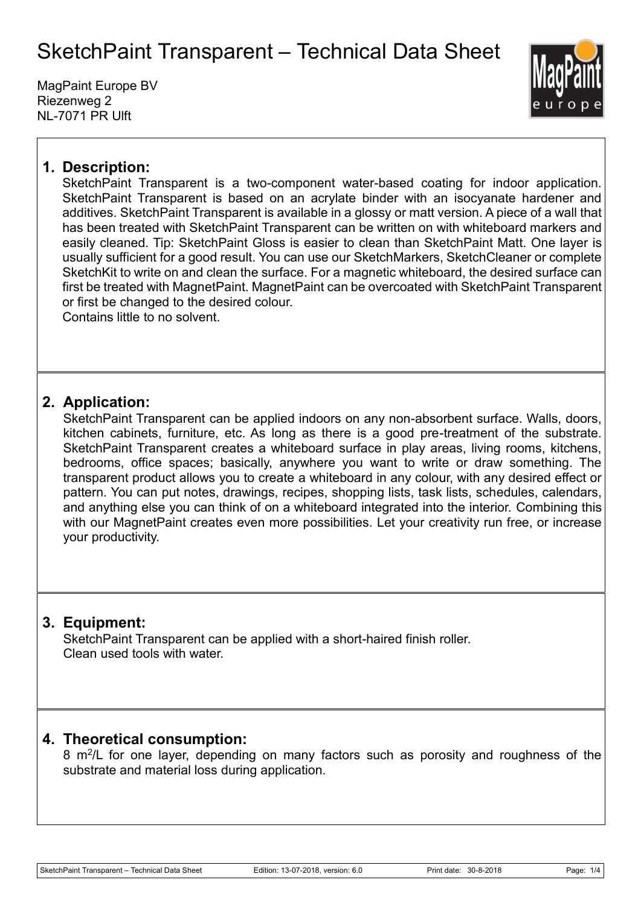MagPaint Europe BV Riezenweg 2 NL-7071 PR Ulft



## **1. Description:**

SketchPaint Transparent is a two-component water-based coating for indoor application. SketchPaint Transparent is based on an acrylate binder with an isocyanate hardener and additives. SketchPaint Transparent is available in a glossy or matt version. A piece of a wall that has been treated with SketchPaint Transparent can be written on with whiteboard markers and easily cleaned. Tip: SketchPaint Gloss is easier to clean than SketchPaint Matt. One layer is usually sufficient for a good result. You can use our SketchMarkers, SketchCleaner or complete SketchKit to write on and clean the surface. For a magnetic whiteboard, the desired surface can first be treated with MagnetPaint. MagnetPaint can be overcoated with SketchPaint Transparent or first be changed to the desired colour.

Contains little to no solvent.

### **2. Application:**

SketchPaint Transparent can be applied indoors on any non-absorbent surface. Walls, doors, kitchen cabinets, furniture, etc. As long as there is a good pre-treatment of the substrate. SketchPaint Transparent creates a whiteboard surface in play areas, living rooms, kitchens, bedrooms, office spaces; basically, anywhere you want to write or draw something. The transparent product allows you to create a whiteboard in any colour, with any desired effect or pattern. You can put notes, drawings, recipes, shopping lists, task lists, schedules, calendars, and anything else you can think of on a whiteboard integrated into the interior. Combining this with our MagnetPaint creates even more possibilities. Let your creativity run free, or increase your productivity.

## **3. Equipment:**

SketchPaint Transparent can be applied with a short-haired finish roller. Clean used tools with water.

### **4. Theoretical consumption:**

8 m<sup>2</sup>/L for one layer, depending on many factors such as porosity and roughness of the substrate and material loss during application.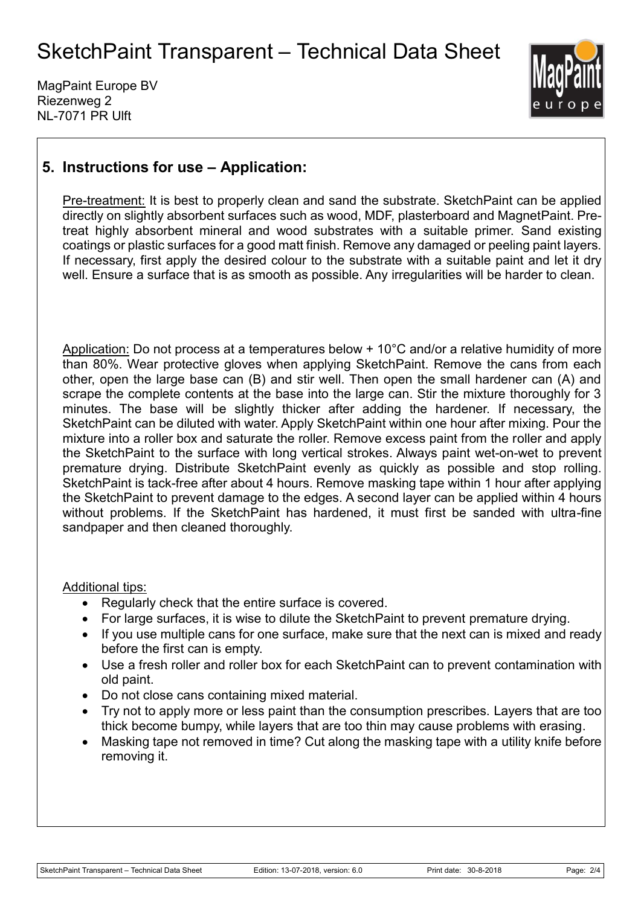MagPaint Europe BV Riezenweg 2 NL-7071 PR Ulft



## **5. Instructions for use – Application:**

Pre-treatment: It is best to properly clean and sand the substrate. SketchPaint can be applied directly on slightly absorbent surfaces such as wood, MDF, plasterboard and MagnetPaint. Pretreat highly absorbent mineral and wood substrates with a suitable primer. Sand existing coatings or plastic surfaces for a good matt finish. Remove any damaged or peeling paint layers. If necessary, first apply the desired colour to the substrate with a suitable paint and let it dry well. Ensure a surface that is as smooth as possible. Any irregularities will be harder to clean.

Application: Do not process at a temperatures below + 10°C and/or a relative humidity of more than 80%. Wear protective gloves when applying SketchPaint. Remove the cans from each other, open the large base can (B) and stir well. Then open the small hardener can (A) and scrape the complete contents at the base into the large can. Stir the mixture thoroughly for 3 minutes. The base will be slightly thicker after adding the hardener. If necessary, the SketchPaint can be diluted with water. Apply SketchPaint within one hour after mixing. Pour the mixture into a roller box and saturate the roller. Remove excess paint from the roller and apply the SketchPaint to the surface with long vertical strokes. Always paint wet-on-wet to prevent premature drying. Distribute SketchPaint evenly as quickly as possible and stop rolling. SketchPaint is tack-free after about 4 hours. Remove masking tape within 1 hour after applying the SketchPaint to prevent damage to the edges. A second layer can be applied within 4 hours without problems. If the SketchPaint has hardened, it must first be sanded with ultra-fine sandpaper and then cleaned thoroughly.

#### Additional tips:

- Regularly check that the entire surface is covered.
- For large surfaces, it is wise to dilute the SketchPaint to prevent premature drying.
- If you use multiple cans for one surface, make sure that the next can is mixed and ready before the first can is empty.
- Use a fresh roller and roller box for each SketchPaint can to prevent contamination with old paint.
- Do not close cans containing mixed material.
- Try not to apply more or less paint than the consumption prescribes. Layers that are too thick become bumpy, while layers that are too thin may cause problems with erasing.
- Masking tape not removed in time? Cut along the masking tape with a utility knife before removing it.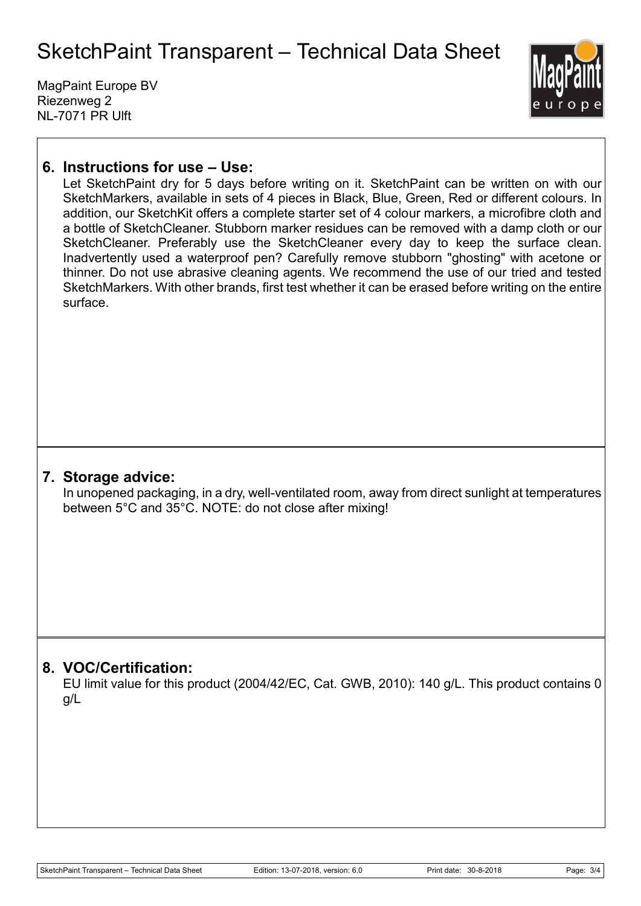MagPaint Europe BV Riezenweg 2 NL-7071 PR Ulft



### **6. Instructions for use – Use:**

Let SketchPaint dry for 5 days before writing on it. SketchPaint can be written on with our SketchMarkers, available in sets of 4 pieces in Black, Blue, Green, Red or different colours. In addition, our SketchKit offers a complete starter set of 4 colour markers, a microfibre cloth and a bottle of SketchCleaner. Stubborn marker residues can be removed with a damp cloth or our SketchCleaner. Preferably use the SketchCleaner every day to keep the surface clean. Inadvertently used a waterproof pen? Carefully remove stubborn "ghosting" with acetone or thinner. Do not use abrasive cleaning agents. We recommend the use of our tried and tested SketchMarkers. With other brands, first test whether it can be erased before writing on the entire surface.

#### **7. Storage advice:**

In unopened packaging, in a dry, well-ventilated room, away from direct sunlight at temperatures between 5°C and 35°C. NOTE: do not close after mixing!

### **8. VOC/Certification:**

EU limit value for this product (2004/42/EC, Cat. GWB, 2010): 140 g/L. This product contains 0 g/L